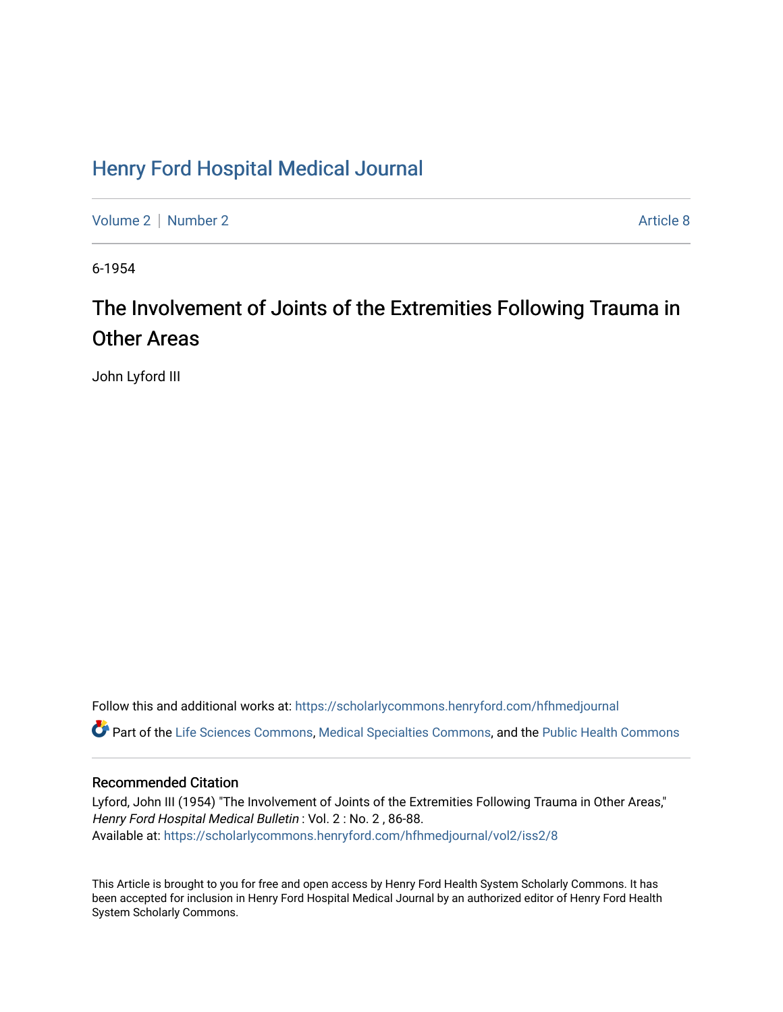## [Henry Ford Hospital Medical Journal](https://scholarlycommons.henryford.com/hfhmedjournal)

[Volume 2](https://scholarlycommons.henryford.com/hfhmedjournal/vol2) [Number 2](https://scholarlycommons.henryford.com/hfhmedjournal/vol2/iss2) Article 8

6-1954

# The Involvement of Joints of the Extremities Following Trauma in Other Areas

John Lyford III

Follow this and additional works at: [https://scholarlycommons.henryford.com/hfhmedjournal](https://scholarlycommons.henryford.com/hfhmedjournal?utm_source=scholarlycommons.henryford.com%2Fhfhmedjournal%2Fvol2%2Fiss2%2F8&utm_medium=PDF&utm_campaign=PDFCoverPages)

Part of the [Life Sciences Commons,](http://network.bepress.com/hgg/discipline/1016?utm_source=scholarlycommons.henryford.com%2Fhfhmedjournal%2Fvol2%2Fiss2%2F8&utm_medium=PDF&utm_campaign=PDFCoverPages) [Medical Specialties Commons](http://network.bepress.com/hgg/discipline/680?utm_source=scholarlycommons.henryford.com%2Fhfhmedjournal%2Fvol2%2Fiss2%2F8&utm_medium=PDF&utm_campaign=PDFCoverPages), and the Public Health Commons

## Recommended Citation

Lyford, John III (1954) "The Involvement of Joints of the Extremities Following Trauma in Other Areas," Henry Ford Hospital Medical Bulletin : Vol. 2 : No. 2 , 86-88. Available at: [https://scholarlycommons.henryford.com/hfhmedjournal/vol2/iss2/8](https://scholarlycommons.henryford.com/hfhmedjournal/vol2/iss2/8?utm_source=scholarlycommons.henryford.com%2Fhfhmedjournal%2Fvol2%2Fiss2%2F8&utm_medium=PDF&utm_campaign=PDFCoverPages) 

This Article is brought to you for free and open access by Henry Ford Health System Scholarly Commons. It has been accepted for inclusion in Henry Ford Hospital Medical Journal by an authorized editor of Henry Ford Health System Scholarly Commons.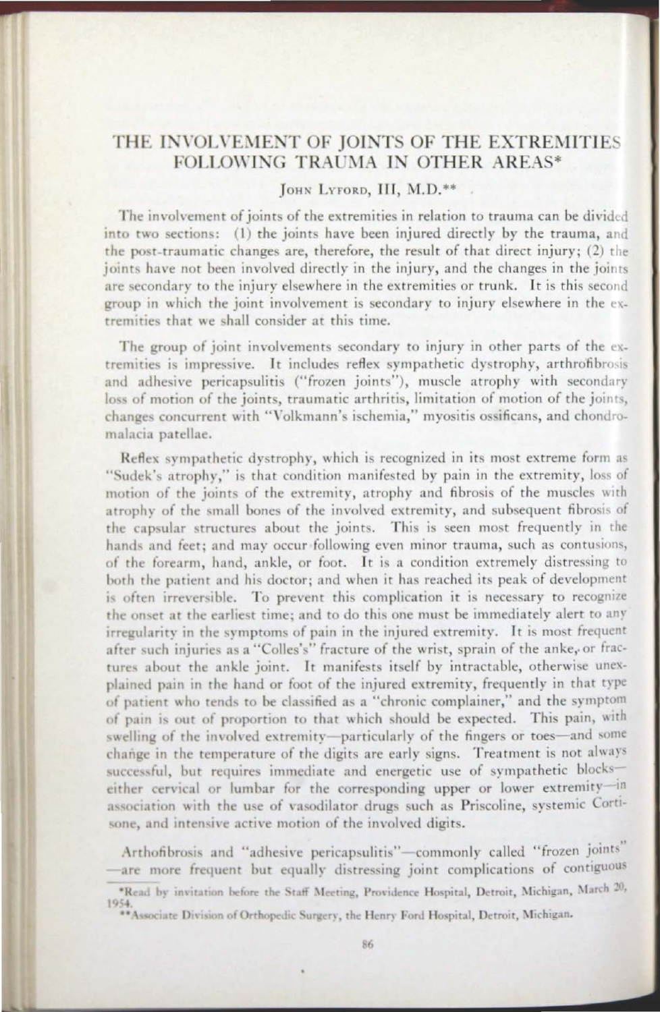### THE INVOLVEMENT OF JOINTS OF THE EXTREMITIES FOLLOWING TRAUMA IN OTHER AREAS\*

#### IOHN LYFORD, III, M.D.\*\*

The involvement of joints of the extremities in relation to trauma can be divided into two sections: (1) the joints have been injured directly by the trauma, and the post-traumatic changes are, therefore, the result of that direct injury; (2) the joints have not been involved directly in the injury, and the changes in the joints are secondary to the injury elsewhere in the extremities or trunk. It is this second group in which the joint involvement is secondary to injury elsewhere in the extremities that we shall consider at this time.

The group of joint involvements secondary to injury in other parts of the extremities is impressive. It includes reflex sympathetic dystrophy, arthrofibrosis and adhesive pericapsulitis ("frozen joints"), muscle atrophy with secondary loss of motion of the joints, traumatic arthritis, limitation of motion of the joints, changes concurrent with "Volkmann's ischemia," mvositis ossificans, and chondromalacia patellae.

Reflex sympathetic dystrophy, which is recognized in its most extreme form as "Sudek's atrophy," is that condition manifested by pain in the extremity, loss of motion of the joints of the extremity, atrophy and fibrosis of the muscles with atrophy of the small bones of the involved extremity, and subsequent fibrosis of the capsular structures about the joints. This is seen most frequently in the hands and feet: and may occur following even minor trauma, such as contusions, of the forearm, hand, ankle, or foot. It is a condition extremely distressing to both the patient and his doctor; and when it has reached its peak of development is often irreversible. To prevent this complication it is necessary to recognize the onset at the earliest time; and to do this one must be immediately alert to any irregularity in the symptoms of pain in the injured extremity. It is most frequent after such injuries as a "Colles's" fracture of the wrist, sprain of the anke, or fractures about the ankle joint. It manifests itself by intractable, otherwise unexplained pain in the hand or foot of the injured extremity, frequently in that type of patient who tends to be classified as a "chronic complainer," and the symptom of pain is out of proportion to that which should be expected. This pain, with swelling of the involved extremity-particularly of the fingers or toes-and some change in the temperature of the digits are early signs. Treatment is not always successful, but requires immediate and energetic use of sympathetic blockseither cervical or lumbar for the corresponding upper or lower extremity-in association with the use of vasodilator drugs such as Priscoline, systemic Cortisone, and intensive active motion of the involved digits.

Arthofibrosis and "adhesive pericapsulitis"-commonly called "frozen joints" -are more frequent but equally distressing joint complications of contiguous

<sup>\*</sup>Read by invitation before the Staff Meeting, Providence Hospital, Detroit, Michigan, March 20, 1954.

<sup>\*\*</sup> Associate Division of Orthopedic Surgery, the Henry Ford Hospital, Detroit, Michigan.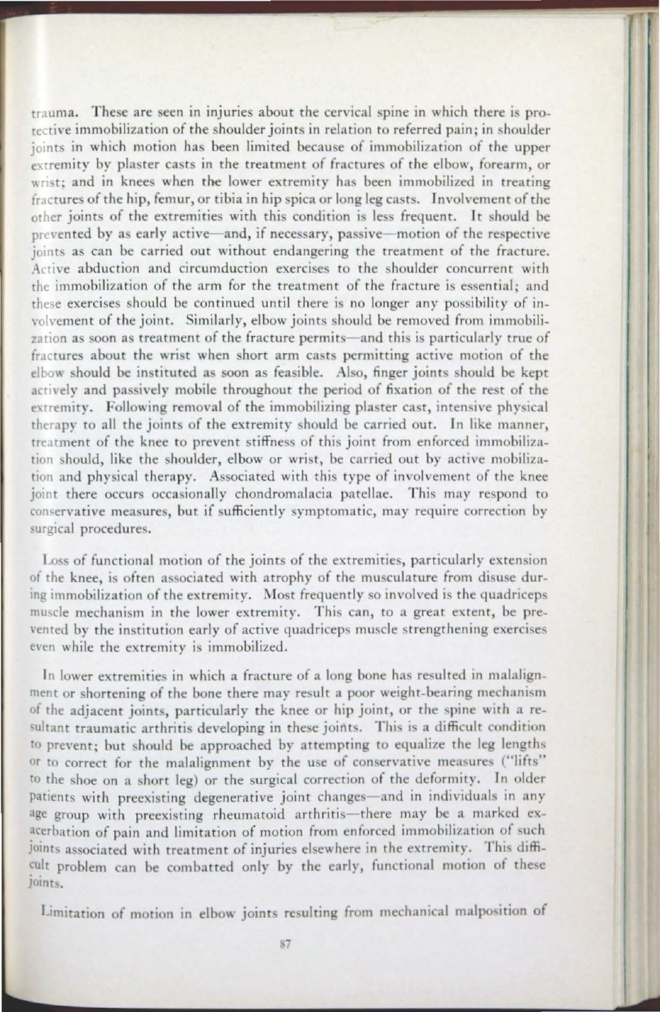trauma. These are seen in injuries about the cervical spine in which there is prorecrive immobilization of rhe shoulder joints in relation to referred pain; in shoulder joints in which motion has been limited because of immobilization of the upper extremity by plaster casts in the treatment of fractures of the elbow, forearm, or wrist; and in knees when the lower extremity has been immobilized in treating fractures of the hip, femur, or tibia in hip spica or long leg casts. Involvement of the other joints of the extremities with this condition is less frequent. It should be prevented by as early active--and, if necessary, passive--motion of the respective joints as can be carried out without endangering the treatment of the fracture.  $\Lambda$ ctive abduction and circumduction exercises to the shoulder concurrent with the immobilization of the arm for the treatment of the fracture is essential: and these exercises should be continued until there is no longer any possibility of involvement of the joint. Similarly, elbow joints should be removed from immobilization as soon as treatment of the fracture permits-and this is particularly true of fractures about the wrist when short arm casts permitting active motion of the elbow should be instituted as soon as feasible. Also, finger joints should be kept actively and passively mobile throughout the period of fixation of the rest of the extremity. Following removal of the immobilizing plaster cast, intensive physical therapy to all the joints of the extremity should be carried out. In like manner, treatment of the knee to prevent stiffness of this joint from enforced immobilization should, like the shoulder, elbow or wrist, be carried out by active mobilization and physical therapy. Associated with this type of involvement of the knee joint there occurs occasionally chondromalacia patellae. This may respond to conservative measures, but if sufficiently symptomatic, may require correction by surgical procedures.

- - --

Loss of functional motion of the joints of the extremities, particularly extension of the knee, is often associated with atrophy of the musculature from disuse during immobilization of the extremity. Most frequently so involved is the quadriceps muscle mechanism in the lower extremity. This can, to a great extent, be prevented by the institution early of active quadriceps muscle strengthening exercises even while the extremity is immobilized.

I:

In lower extremities in which a fracture of a long bone has resulted in malalignment or shortening of the bone there may result a poor weight-bearing mechanism of the adjacent joints, particularly the knee or hip joint, or the spine with a re sultant traumatic arthritis developing in these joints. This is a difficult condition to prevent; but should be approached by attempting to equalize the leg lengths or to correct for the malalignment by the use of conservative measures ("lifts" to the shoe on a short leg) or the surgical correction of the deformity. In older patients with preexisting degenerative joint changes-and in individuals in any age group with preexisting rheumatoid arthritis-there may be a marked exacerbation of pain and limitation of motion from enforced immobilization of such joints associated with treatment of injuries elsewhere in the extremity. This difficult problem can be combatted only by the early, functional motion of these joints.

Limitation of motion in elbow joints resulting from mechanical malposition of

-